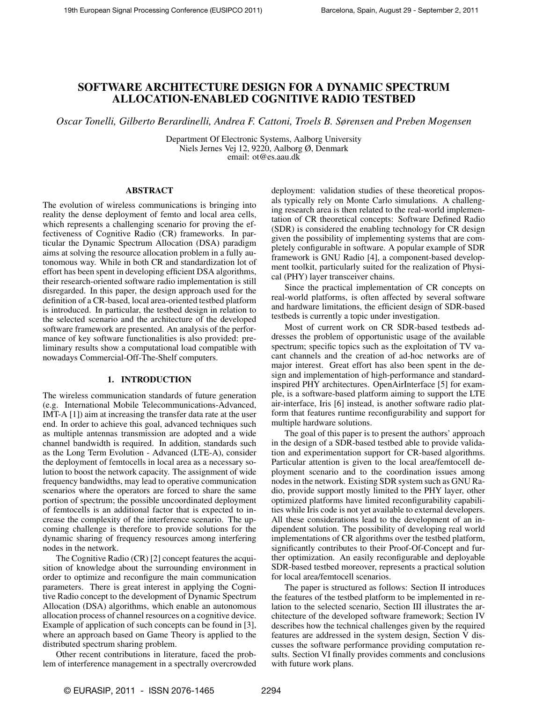# SOFTWARE ARCHITECTURE DESIGN FOR A DYNAMIC SPECTRUM ALLOCATION-ENABLED COGNITIVE RADIO TESTBED

*Oscar Tonelli, Gilberto Berardinelli, Andrea F. Cattoni, Troels B. Sørensen and Preben Mogensen*

Department Of Electronic Systems, Aalborg University Niels Jernes Vej 12, 9220, Aalborg Ø, Denmark email: ot@es.aau.dk

# ABSTRACT

The evolution of wireless communications is bringing into reality the dense deployment of femto and local area cells, which represents a challenging scenario for proving the effectiveness of Cognitive Radio (CR) frameworks. In particular the Dynamic Spectrum Allocation (DSA) paradigm aims at solving the resource allocation problem in a fully autonomous way. While in both CR and standardization lot of effort has been spent in developing efficient DSA algorithms, their research-oriented software radio implementation is still disregarded. In this paper, the design approach used for the definition of a CR-based, local area-oriented testbed platform is introduced. In particular, the testbed design in relation to the selected scenario and the architecture of the developed software framework are presented. An analysis of the performance of key software functionalities is also provided: preliminary results show a computational load compatible with nowadays Commercial-Off-The-Shelf computers.

# 1. INTRODUCTION

The wireless communication standards of future generation (e.g. International Mobile Telecommunications-Advanced, IMT-A [1]) aim at increasing the transfer data rate at the user end. In order to achieve this goal, advanced techniques such as multiple antennas transmission are adopted and a wide channel bandwidth is required. In addition, standards such as the Long Term Evolution - Advanced (LTE-A), consider the deployment of femtocells in local area as a necessary solution to boost the network capacity. The assignment of wide frequency bandwidths, may lead to operative communication scenarios where the operators are forced to share the same portion of spectrum; the possible uncoordinated deployment of femtocells is an additional factor that is expected to increase the complexity of the interference scenario. The upcoming challenge is therefore to provide solutions for the dynamic sharing of frequency resources among interfering nodes in the network.

The Cognitive Radio (CR) [2] concept features the acquisition of knowledge about the surrounding environment in order to optimize and reconfigure the main communication parameters. There is great interest in applying the Cognitive Radio concept to the development of Dynamic Spectrum Allocation (DSA) algorithms, which enable an autonomous allocation process of channel resources on a cognitive device. Example of application of such concepts can be found in [3], where an approach based on Game Theory is applied to the distributed spectrum sharing problem.

Other recent contributions in literature, faced the problem of interference management in a spectrally overcrowded deployment: validation studies of these theoretical proposals typically rely on Monte Carlo simulations. A challenging research area is then related to the real-world implementation of CR theoretical concepts: Software Defined Radio (SDR) is considered the enabling technology for CR design given the possibility of implementing systems that are completely configurable in software. A popular example of SDR framework is GNU Radio [4], a component-based development toolkit, particularly suited for the realization of Physical (PHY) layer transceiver chains.

Since the practical implementation of CR concepts on real-world platforms, is often affected by several software and hardware limitations, the efficient design of SDR-based testbeds is currently a topic under investigation.

Most of current work on CR SDR-based testbeds addresses the problem of opportunistic usage of the available spectrum; specific topics such as the exploitation of TV vacant channels and the creation of ad-hoc networks are of major interest. Great effort has also been spent in the design and implementation of high-performance and standardinspired PHY architectures. OpenAirInterface [5] for example, is a software-based platform aiming to support the LTE air-interface, Iris [6] instead, is another software radio platform that features runtime reconfigurability and support for multiple hardware solutions.

The goal of this paper is to present the authors' approach in the design of a SDR-based testbed able to provide validation and experimentation support for CR-based algorithms. Particular attention is given to the local area/femtocell deployment scenario and to the coordination issues among nodes in the network. Existing SDR system such as GNU Radio, provide support mostly limited to the PHY layer, other optimized platforms have limited reconfigurability capabilities while Iris code is not yet available to external developers. All these considerations lead to the development of an indipendent solution. The possibility of developing real world implementations of CR algorithms over the testbed platform, significantly contributes to their Proof-Of-Concept and further optimization. An easily reconfigurable and deployable SDR-based testbed moreover, represents a practical solution for local area/femtocell scenarios.

The paper is structured as follows: Section II introduces the features of the testbed platform to be implemented in relation to the selected scenario, Section III illustrates the architecture of the developed software framework; Section IV describes how the technical challenges given by the required features are addressed in the system design, Section V discusses the software performance providing computation results. Section VI finally provides comments and conclusions with future work plans.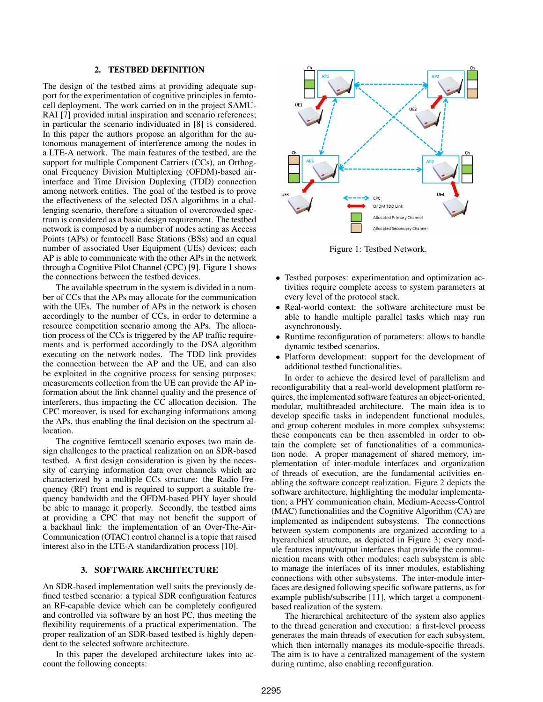## 2. TESTBED DEFINITION

The design of the testbed aims at providing adequate support for the experimentation of cognitive principles in femtocell deployment. The work carried on in the project SAMU-RAI [7] provided initial inspiration and scenario references; in particular the scenario individuated in [8] is considered. In this paper the authors propose an algorithm for the autonomous management of interference among the nodes in a LTE-A network. The main features of the testbed, are the support for multiple Component Carriers (CCs), an Orthogonal Frequency Division Multiplexing (OFDM)-based airinterface and Time Division Duplexing (TDD) connection among network entities. The goal of the testbed is to prove the effectiveness of the selected DSA algorithms in a challenging scenario, therefore a situation of overcrowded spectrum is considered as a basic design requirement. The testbed network is composed by a number of nodes acting as Access Points (APs) or femtocell Base Stations (BSs) and an equal number of associated User Equipment (UEs) devices; each AP is able to communicate with the other APs in the network through a Cognitive Pilot Channel (CPC) [9]. Figure 1 shows the connections between the testbed devices.

The available spectrum in the system is divided in a number of CCs that the APs may allocate for the communication with the UEs. The number of APs in the network is chosen accordingly to the number of CCs, in order to determine a resource competition scenario among the APs. The allocation process of the CCs is triggered by the AP traffic requirements and is performed accordingly to the DSA algorithm executing on the network nodes. The TDD link provides the connection between the AP and the UE, and can also be exploited in the cognitive process for sensing purposes: measurements collection from the UE can provide the AP information about the link channel quality and the presence of interferers, thus impacting the CC allocation decision. The CPC moreover, is used for exchanging informations among the APs, thus enabling the final decision on the spectrum allocation.

The cognitive femtocell scenario exposes two main design challenges to the practical realization on an SDR-based testbed. A first design consideration is given by the necessity of carrying information data over channels which are characterized by a multiple CCs structure: the Radio Frequency (RF) front end is required to support a suitable frequency bandwidth and the OFDM-based PHY layer should be able to manage it properly. Secondly, the testbed aims at providing a CPC that may not benefit the support of a backhaul link: the implementation of an Over-The-Air-Communication (OTAC) control channel is a topic that raised interest also in the LTE-A standardization process [10].

# 3. SOFTWARE ARCHITECTURE

An SDR-based implementation well suits the previously defined testbed scenario: a typical SDR configuration features an RF-capable device which can be completely configured and controlled via software by an host PC, thus meeting the flexibility requirements of a practical experimentation. The proper realization of an SDR-based testbed is highly dependent to the selected software architecture.

In this paper the developed architecture takes into account the following concepts:



Figure 1: Testbed Network.

- Testbed purposes: experimentation and optimization activities require complete access to system parameters at every level of the protocol stack.
- Real-world context: the software architecture must be able to handle multiple parallel tasks which may run asynchronously.
- Runtime reconfiguration of parameters: allows to handle dynamic testbed scenarios.
- Platform development: support for the development of additional testbed functionalities.

In order to achieve the desired level of parallelism and reconfigurability that a real-world development platform requires, the implemented software features an object-oriented, modular, multithreaded architecture. The main idea is to develop specific tasks in independent functional modules, and group coherent modules in more complex subsystems: these components can be then assembled in order to obtain the complete set of functionalities of a communication node. A proper management of shared memory, implementation of inter-module interfaces and organization of threads of execution, are the fundamental activities enabling the software concept realization. Figure 2 depicts the software architecture, highlighting the modular implementation; a PHY communication chain, Medium-Access-Control (MAC) functionalities and the Cognitive Algorithm (CA) are implemented as indipendent subsystems. The connections between system components are organized according to a hyerarchical structure, as depicted in Figure 3; every module features input/output interfaces that provide the communication means with other modules; each subsystem is able to manage the interfaces of its inner modules, establishing connections with other subsystems. The inter-module interfaces are designed following specific software patterns, as for example publish/subscribe [11], which target a componentbased realization of the system.

The hierarchical architecture of the system also applies to the thread generation and execution: a first-level process generates the main threads of execution for each subsystem, which then internally manages its module-specific threads. The aim is to have a centralized management of the system during runtime, also enabling reconfiguration.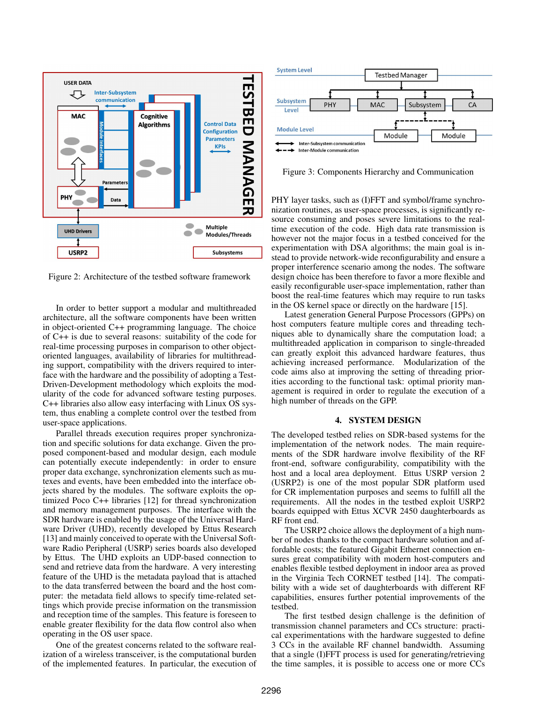

Figure 2: Architecture of the testbed software framework

In order to better support a modular and multithreaded architecture, all the software components have been written in object-oriented C++ programming language. The choice of C++ is due to several reasons: suitability of the code for real-time processing purposes in comparison to other objectoriented languages, availability of libraries for multithreading support, compatibility with the drivers required to interface with the hardware and the possibility of adopting a Test-Driven-Development methodology which exploits the modularity of the code for advanced software testing purposes. C++ libraries also allow easy interfacing with Linux OS system, thus enabling a complete control over the testbed from user-space applications.

Parallel threads execution requires proper synchronization and specific solutions for data exchange. Given the proposed component-based and modular design, each module can potentially execute independently: in order to ensure proper data exchange, synchronization elements such as mutexes and events, have been embedded into the interface objects shared by the modules. The software exploits the optimized Poco C++ libraries [12] for thread synchronization and memory management purposes. The interface with the SDR hardware is enabled by the usage of the Universal Hardware Driver (UHD), recently developed by Ettus Research [13] and mainly conceived to operate with the Universal Software Radio Peripheral (USRP) series boards also developed by Ettus. The UHD exploits an UDP-based connection to send and retrieve data from the hardware. A very interesting feature of the UHD is the metadata payload that is attached to the data transferred between the board and the host computer: the metadata field allows to specify time-related settings which provide precise information on the transmission and reception time of the samples. This feature is foreseen to enable greater flexibility for the data flow control also when operating in the OS user space.

One of the greatest concerns related to the software realization of a wireless transceiver, is the computational burden of the implemented features. In particular, the execution of



Figure 3: Components Hierarchy and Communication

PHY layer tasks, such as (I)FFT and symbol/frame synchronization routines, as user-space processes, is significantly resource consuming and poses severe limitations to the realtime execution of the code. High data rate transmission is however not the major focus in a testbed conceived for the experimentation with DSA algorithms; the main goal is instead to provide network-wide reconfigurability and ensure a proper interference scenario among the nodes. The software design choice has been therefore to favor a more flexible and easily reconfigurable user-space implementation, rather than boost the real-time features which may require to run tasks in the OS kernel space or directly on the hardware [15].

Latest generation General Purpose Processors (GPPs) on host computers feature multiple cores and threading techniques able to dynamically share the computation load; a multithreaded application in comparison to single-threaded can greatly exploit this advanced hardware features, thus achieving increased performance. Modularization of the code aims also at improving the setting of threading priorities according to the functional task: optimal priority management is required in order to regulate the execution of a high number of threads on the GPP.

# 4. SYSTEM DESIGN

The developed testbed relies on SDR-based systems for the implementation of the network nodes. The main requirements of the SDR hardware involve flexibility of the RF front-end, software configurability, compatibility with the host and a local area deployment. Ettus USRP version 2 (USRP2) is one of the most popular SDR platform used for CR implementation purposes and seems to fulfill all the requirements. All the nodes in the testbed exploit USRP2 boards equipped with Ettus XCVR 2450 daughterboards as RF front end.

The USRP2 choice allows the deployment of a high number of nodes thanks to the compact hardware solution and affordable costs; the featured Gigabit Ethernet connection ensures great compatibility with modern host-computers and enables flexible testbed deployment in indoor area as proved in the Virginia Tech CORNET testbed [14]. The compatibility with a wide set of daughterboards with different RF capabilities, ensures further potential improvements of the testbed.

The first testbed design challenge is the definition of transmission channel parameters and CCs structure: practical experimentations with the hardware suggested to define 3 CCs in the available RF channel bandwidth. Assuming that a single (I)FFT process is used for generating/retrieving the time samples, it is possible to access one or more CCs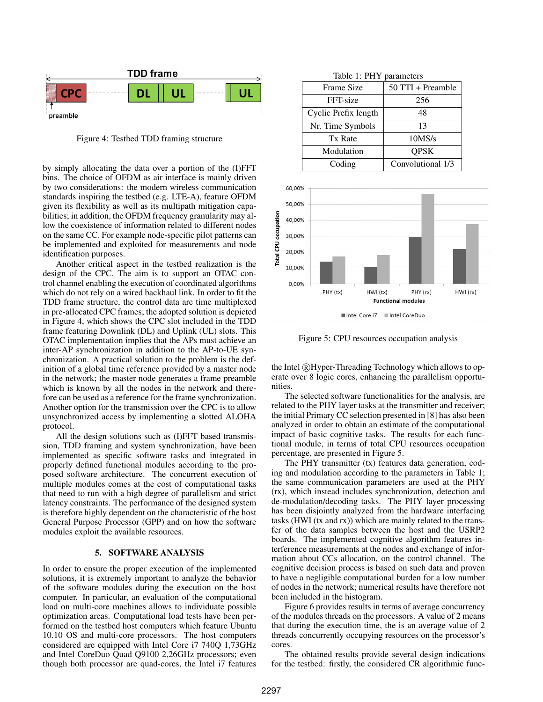

Figure 4: Testbed TDD framing structure

by simply allocating the data over a portion of the (I)FFT bins. The choice of OFDM as air interface is mainly driven by two considerations: the modern wireless communication standards inspiring the testbed (e.g. LTE-A), feature OFDM given its flexibility as well as its multipath mitigation capabilities; in addition, the OFDM frequency granularity may allow the coexistence of information related to different nodes on the same CC. For example node-specific pilot patterns can be implemented and exploited for measurements and node identification purposes.

Another critical aspect in the testbed realization is the design of the CPC. The aim is to support an OTAC control channel enabling the execution of coordinated algorithms which do not rely on a wired backhaul link. In order to fit the TDD frame structure, the control data are time multiplexed in pre-allocated CPC frames; the adopted solution is depicted in Figure 4, which shows the CPC slot included in the TDD frame featuring Downlink (DL) and Uplink (UL) slots. This OTAC implementation implies that the APs must achieve an inter-AP synchronization in addition to the AP-to-UE synchronization. A practical solution to the problem is the definition of a global time reference provided by a master node in the network; the master node generates a frame preamble which is known by all the nodes in the network and therefore can be used as a reference for the frame synchronization. Another option for the transmission over the CPC is to allow unsynchronized access by implementing a slotted ALOHA protocol.

All the design solutions such as (I)FFT based transmission, TDD framing and system synchronization, have been implemented as specific software tasks and integrated in properly defined functional modules according to the proposed software architecture. The concurrent execution of multiple modules comes at the cost of computational tasks that need to run with a high degree of parallelism and strict latency constraints. The performance of the designed system is therefore highly dependent on the characteristic of the host General Purpose Processor (GPP) and on how the software modules exploit the available resources.

## 5. SOFTWARE ANALYSIS

In order to ensure the proper execution of the implemented solutions, it is extremely important to analyze the behavior of the software modules during the execution on the host computer. In particular, an evaluation of the computational load on multi-core machines allows to individuate possible optimization areas. Computational load tests have been performed on the testbed host computers which feature Ubuntu 10.10 OS and multi-core processors. The host computers considered are equipped with Intel Core i7 740Q 1,73GHz and Intel CoreDuo Quad Q9100 2,26GHz processors; even though both processor are quad-cores, the Intel i7 features

|  |  | Table 1: PHY parameters |
|--|--|-------------------------|
|--|--|-------------------------|

| Frame Size           | 50 TTI + Preamble |
|----------------------|-------------------|
| FFT-size             | 256               |
| Cyclic Prefix length | 48                |
| Nr. Time Symbols     | 13                |
| Tx Rate              | 10MS/s            |
| Modulation           | <b>OPSK</b>       |
| Coding               | Convolutional 1/3 |



Figure 5: CPU resources occupation analysis

the Intel ®Hyper-Threading Technology which allows to operate over 8 logic cores, enhancing the parallelism opportunities.

The selected software functionalities for the analysis, are related to the PHY layer tasks at the transmitter and receiver; the initial Primary CC selection presented in [8] has also been analyzed in order to obtain an estimate of the computational impact of basic cognitive tasks. The results for each functional module, in terms of total CPU resources occupation percentage, are presented in Figure 5.

The PHY transmitter (tx) features data generation, coding and modulation according to the parameters in Table 1; the same communication parameters are used at the PHY (rx), which instead includes synchronization, detection and de-modulation/decoding tasks. The PHY layer processing has been disjointly analyzed from the hardware interfacing tasks (HWI (tx and rx)) which are mainly related to the transfer of the data samples between the host and the USRP2 boards. The implemented cognitive algorithm features interference measurements at the nodes and exchange of information about CCs allocation, on the control channel. The cognitive decision process is based on such data and proven to have a negligible computational burden for a low number of nodes in the network; numerical results have therefore not been included in the histogram.

Figure 6 provides results in terms of average concurrency of the modules threads on the processors. A value of 2 means that during the execution time, the is an average value of 2 threads concurrently occupying resources on the processor's cores.

The obtained results provide several design indications for the testbed: firstly, the considered CR algorithmic func-